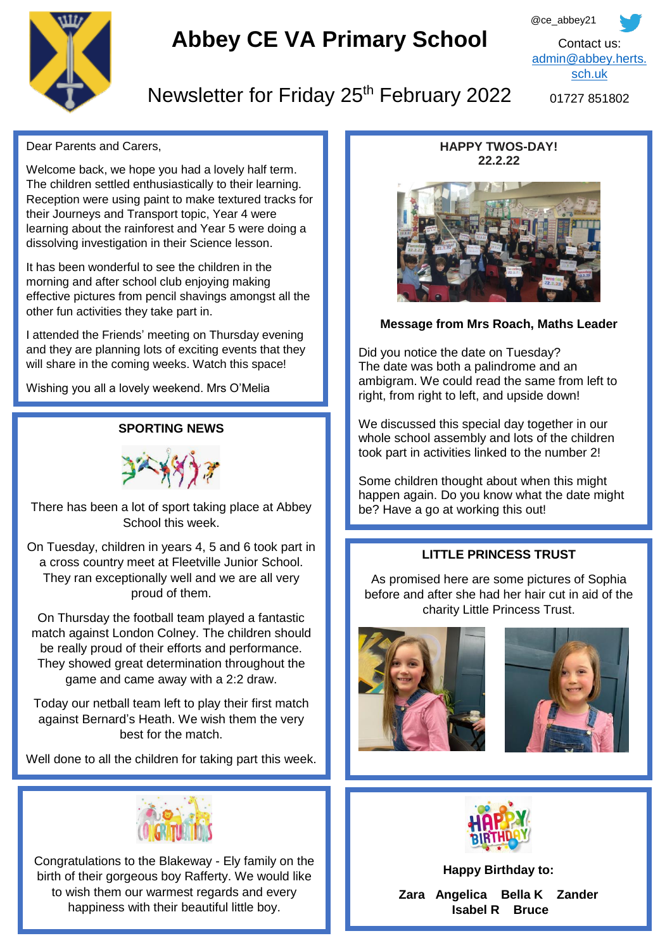

# **Abbey CE VA Primary School**

@ce\_abbey21 Contact us: [admin@abbey.herts.](mailto:admin@abbey.herts.sch.uk) [sch.uk](mailto:admin@abbey.herts.sch.uk)

# Newsletter for Friday 25<sup>th</sup> February 2022

01727 851802

Dear Parents and Carers,

Welcome back, we hope you had a lovely half term. The children settled enthusiastically to their learning. Reception were using paint to make textured tracks for their Journeys and Transport topic, Year 4 were learning about the rainforest and Year 5 were doing a dissolving investigation in their Science lesson.

It has been wonderful to see the children in the morning and after school club enjoying making effective pictures from pencil shavings amongst all the other fun activities they take part in.

I attended the Friends' meeting on Thursday evening and they are planning lots of exciting events that they will share in the coming weeks. Watch this space!

Wishing you all a lovely weekend. Mrs O'Melia

#### **SPORTING NEWS**



There has been a lot of sport taking place at Abbey School this week.

 a cross country meet at Fleetville Junior School. On Tuesday, children in years 4, 5 and 6 took part in They ran exceptionally well and we are all very proud of them.

On Thursday the football team played a fantastic match against London Colney. The children should be really proud of their efforts and performance. They showed great determination throughout the game and came away with a 2:2 draw.

Today our netball team left to play their first match against Bernard's Heath. We wish them the very best for the match.

Well done to all the children for taking part this week.



Congratulations to the Blakeway - Ely family on the birth of their gorgeous boy Rafferty. We would like to wish them our warmest regards and every happiness with their beautiful little boy.

#### **HAPPY TWOS-DAY! 22.2.22**



#### **Message from Mrs Roach, Maths Leader**

Did you notice the date on Tuesday? The date was both a palindrome and an ambigram. We could read the same from left to right, from right to left, and upside down!

We discussed this special day together in our whole school assembly and lots of the children took part in activities linked to the number 2!

Some children thought about when this might happen again. Do you know what the date might be? Have a go at working this out!

#### **LITTLE PRINCESS TRUST**

As promised here are some pictures of Sophia before and after she had her hair cut in aid of the charity Little Princess Trust.







**Happy Birthday to:**

**Zara Angelica Bella K Zander Isabel R Bruce**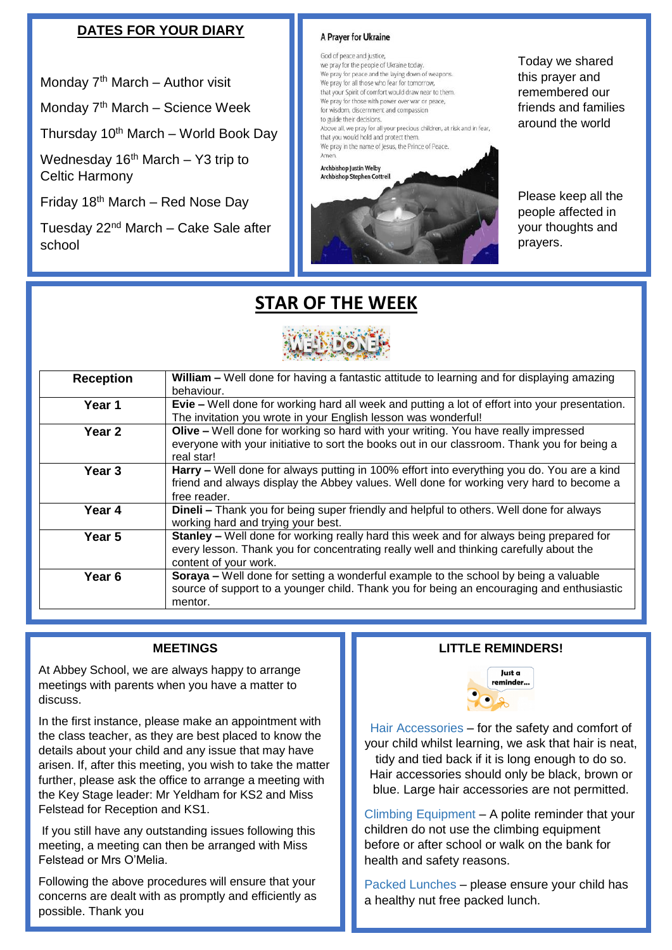## **DATES FOR YOUR DIARY**

Monday  $7<sup>th</sup>$  March – Author visit

Monday 7<sup>th</sup> March – Science Week

Thursday  $10^{th}$  March – World Book Day

Wednesday  $16<sup>th</sup>$  March – Y3 trip to Celtic Harmony

Friday  $18<sup>th</sup>$  March – Red Nose Day

Tuesday  $22<sup>nd</sup>$  March – Cake Sale after school

#### A Prayer for Ukraine

God of peace and justice. we pray for the people of Ukraine today. We pray for peace and the laying down of weapons. We pray for all those who fear for tomorrow, that your Spirit of comfort would draw near to them. We pray for those with power over war or peace, for wisdom, discernment and compassion to guide their decisions. Above all, we pray for all your precious children, at risk and in fear. that you would hold and protect them. We pray in the name of Jesus, the Prince of Peace.

Archbishop Justin Welby **Archbishop Stephen Cottrel** 



Today we shared this prayer and remembered our friends and families around the world

Please keep all the people affected in your thoughts and prayers.

# **STAR OF THE WEEK**



| <b>Reception</b>  | William – Well done for having a fantastic attitude to learning and for displaying amazing                |
|-------------------|-----------------------------------------------------------------------------------------------------------|
|                   | behaviour.                                                                                                |
| Year 1            | Evie - Well done for working hard all week and putting a lot of effort into your presentation.            |
|                   | The invitation you wrote in your English lesson was wonderful!                                            |
| Year <sub>2</sub> | <b>Olive –</b> Well done for working so hard with your writing. You have really impressed                 |
|                   | everyone with your initiative to sort the books out in our classroom. Thank you for being a<br>real star! |
| Year 3            | Harry - Well done for always putting in 100% effort into everything you do. You are a kind                |
|                   | friend and always display the Abbey values. Well done for working very hard to become a                   |
|                   | free reader.                                                                                              |
| Year 4            | <b>Dineli</b> – Thank you for being super friendly and helpful to others. Well done for always            |
|                   | working hard and trying your best.                                                                        |
| Year 5            | <b>Stanley –</b> Well done for working really hard this week and for always being prepared for            |
|                   | every lesson. Thank you for concentrating really well and thinking carefully about the                    |
|                   | content of your work.                                                                                     |
| Year 6            | <b>Soraya –</b> Well done for setting a wonderful example to the school by being a valuable               |
|                   | source of support to a younger child. Thank you for being an encouraging and enthusiastic                 |
|                   | mentor.                                                                                                   |

#### **MEETINGS**

At Abbey School, we are always happy to arrange meetings with parents when you have a matter to discuss.

In the first instance, please make an appointment with the class teacher, as they are best placed to know the details about your child and any issue that may have arisen. If, after this meeting, you wish to take the matter further, please ask the office to arrange a meeting with the Key Stage leader: Mr Yeldham for KS2 and Miss Felstead for Reception and KS1.

If you still have any outstanding issues following this meeting, a meeting can then be arranged with Miss Felstead or Mrs O'Melia.

Following the above procedures will ensure that your concerns are dealt with as promptly and efficiently as possible. Thank you

#### *Well done to everyone who tried their best this half term and worked hard to challenge themselves.* **LITTLE REMINDERS!**



Hair Accessories – for the safety and comfort of your child whilst learning, we ask that hair is neat, tidy and tied back if it is long enough to do so. Hair accessories should only be black, brown or blue. Large hair accessories are not permitted.

Climbing Equipment – A polite reminder that your children do not use the climbing equipment before or after school or walk on the bank for health and safety reasons.

Packed Lunches – please ensure your child has a healthy nut free packed lunch.